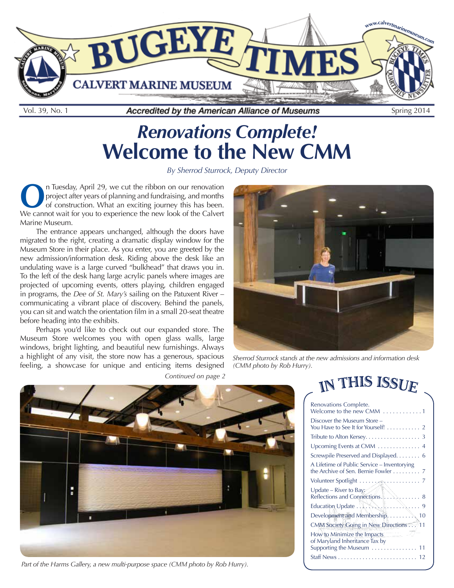<span id="page-0-0"></span>

# *Renovations Complete!*  **Welcome to the New CMM**

*By Sherrod Sturrock, Deputy Director*

**O**n Tuesday, April 29, we cut the ribbon on our renovation project after years of planning and fundraising, and months of construction. What an exciting journey this has been. project after years of planning and fundraising, and months We cannot wait for you to experience the new look of the Calvert Marine Museum.

The entrance appears unchanged, although the doors have migrated to the right, creating a dramatic display window for the Museum Store in their place. As you enter, you are greeted by the new admission/information desk. Riding above the desk like an undulating wave is a large curved "bulkhead" that draws you in. To the left of the desk hang large acrylic panels where images are projected of upcoming events, otters playing, children engaged in programs, the *Dee of St. Mary's* sailing on the Patuxent River – communicating a vibrant place of discovery. Behind the panels, you can sit and watch the orientation film in a small 20-seat theatre before heading into the exhibits.

Perhaps you'd like to check out our expanded store. The Museum Store welcomes you with open glass walls, large windows, bright lighting, and beautiful new furnishings. Always a highlight of any visit, the store now has a generous, spacious feeling, a showcase for unique and enticing items designed



*Sherrod Sturrock stands at the new admissions and information desk (CMM photo by Rob Hurry).*



*Part of the Harms Gallery, a new multi-purpose space (CMM photo by Rob Hurry).*

| Continued on page 2 |  |  |  |
|---------------------|--|--|--|
|---------------------|--|--|--|

# IN THIS ISSUE

| Renovations Complete.<br>Welcome to the new CMM $\ldots \ldots \ldots 1$                   |
|--------------------------------------------------------------------------------------------|
| Discover the Museum Store –<br>You Have to See It for Yourself! 2                          |
| Tribute to Alton Kersey. 3                                                                 |
| Upcoming Events at CMM  4                                                                  |
| Screwpile Preserved and Displayed. 6                                                       |
| A Lifetime of Public Service - Inventorying<br>the Archive of Sen. Bernie Fowler 7         |
| Volunteer Spotlight $\ldots$ , $\mathbb{R}$ , $\ldots$ , $\ldots$ ,                        |
|                                                                                            |
| Education Update . $\left\{ \ldots \right\}$ , $\ldots$ 9                                  |
| Development and Membership,  10                                                            |
| CMM Society Going in New Directions  11                                                    |
| How to Minimize the Impacts<br>of Maryland Inheritance Tax by<br>Supporting the Museum  11 |
|                                                                                            |
|                                                                                            |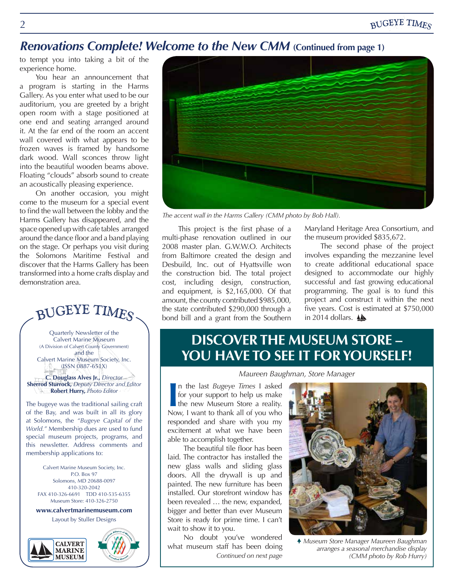#### <span id="page-1-0"></span>*Renovations Complete! Welcome to the New CMM* **(Continued from page 1)**

to tempt you into taking a bit of the experience home.

You hear an announcement that a program is starting in the Harms Gallery. As you enter what used to be our auditorium, you are greeted by a bright open room with a stage positioned at one end and seating arranged around it. At the far end of the room an accent wall covered with what appears to be frozen waves is framed by handsome dark wood. Wall sconces throw light into the beautiful wooden beams above. Floating "clouds" absorb sound to create an acoustically pleasing experience.

On another occasion, you might come to the museum for a special event to find the wall between the lobby and the Harms Gallery has disappeared, and the space opened up with cafe tables arranged around the dance floor and a band playing on the stage. Or perhaps you visit during the Solomons Maritime Festival and discover that the Harms Gallery has been transformed into a home crafts display and demonstration area.

BUGEYE TIMES

Quarterly Newsletter of the Calvert Marine Museum (A Division of Calvert County Government) and the Calvert Marine Museum Society, Inc. (ISSN 0887-651X)

**C. Douglass Alves Jr.,** *Director* **Sherrod Sturrock,** *Deputy Director and Editor* **Robert Hurry,** *Photo Editor*

The bugeye was the traditional sailing craft of the Bay, and was built in all its glory at Solomons, the *"Bugeye Capital of the World."* Membership dues are used to fund special museum projects, programs, and this newsletter. Address comments and membership applications to:

Calvert Marine Museum Society, Inc. P.O. Box 97 Solomons, MD 20688-0097 410-320-2042 FAX 410-326-6691 TDD 410-535-6355 Museum Store: 410-326-2750

**www.calvertmarinemuseum.com**

Layout by Stuller Designs







*The accent wall in the Harms Gallery (CMM photo by Bob Hall).*

This project is the first phase of a multi-phase renovation outlined in our 2008 master plan. G.W.W.O. Architects from Baltimore created the design and Desbuild, Inc. out of Hyattsville won the construction bid. The total project cost, including design, construction, and equipment, is \$2,165,000. Of that amount, the county contributed \$985,000, the state contributed \$290,000 through a bond bill and a grant from the Southern

Maryland Heritage Area Consortium, and the museum provided \$835,672.

The second phase of the project involves expanding the mezzanine level to create additional educational space designed to accommodate our highly successful and fast growing educational programming. The goal is to fund this project and construct it within the next five years. Cost is estimated at \$750,000 in 2014 dollars.  $\triangle$ 

## **DISCOVER THE MUSEUM STORE – YOU HAVE TO SEE IT FOR YOURSELF!**

*Maureen Baughman, Store Manager*

In the last *Bugeye Times* I asked for your support to help us make the new Museum Store a reality. Now, I want to thank all of you who n the last *Bugeye Times* I asked for your support to help us make the new Museum Store a reality. responded and share with you my excitement at what we have been able to accomplish together.

The beautiful tile floor has been laid. The contractor has installed the new glass walls and sliding glass doors. All the drywall is up and painted. The new furniture has been installed. Our storefront window has been revealed … the new, expanded, bigger and better than ever Museum Store is ready for prime time. I can't wait to show it to you.

No doubt you've wondered what museum staff has been doing



 *Museum Store Manager Maureen Baughman arranges a seasonal merchandise display Continued on next page (CMM photo by Rob Hurry)*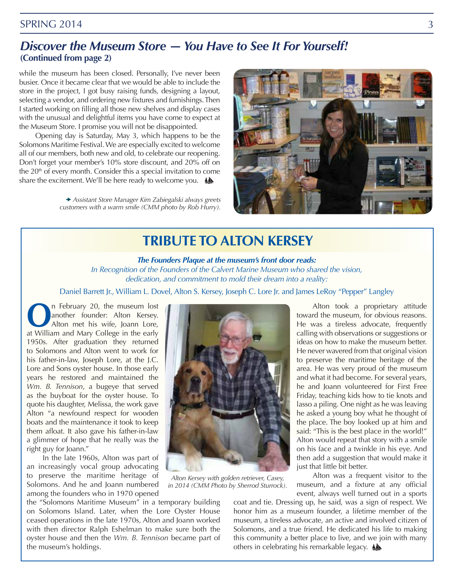#### <span id="page-2-0"></span>*Discover the Museum Store — You Have to See It For Yourself!* **(Continued from page 2)**

while the museum has been closed. Personally, I've never been busier. Once it became clear that we would be able to include the store in the project, I got busy raising funds, designing a layout, selecting a vendor, and ordering new fixtures and furnishings. Then I started working on filling all those new shelves and display cases with the unusual and delightful items you have come to expect at the Museum Store. I promise you will not be disappointed.

Opening day is Saturday, May 3, which happens to be the Solomons Maritime Festival. We are especially excited to welcome all of our members, both new and old, to celebrate our reopening. Don't forget your member's 10% store discount, and 20% off on the 20<sup>th</sup> of every month. Consider this a special invitation to come share the excitement. We'll be here ready to welcome you.  $\triangle$ 

> *Assistant Store Manager Kim Zabiegalski always greets customers with a warm smile (CMM photo by Rob Hurry).*



## **TRIBUTE TO ALTON KERSEY**

#### *The Founders Plaque at the museum's front door reads:*

*In Recognition of the Founders of the Calvert Marine Museum who shared the vision, dedication, and commitment to mold their dream into a reality:* 

Daniel Barrett Jr., William L. Dovel, Alton S. Kersey, Joseph C. Lore Jr. and James LeRoy "Pepper" Langley

**O**n February 20, the museum lost<br>
another founder: Alton Kersey.<br>
Alton met his wife, Joann Lore,<br>
at William and Mary Collogo in the oarly another founder: Alton Kersey. at William and Mary College in the early 1950s. After graduation they returned to Solomons and Alton went to work for his father-in-law, Joseph Lore, at the J.C. Lore and Sons oyster house. In those early years he restored and maintained the *Wm. B. Tennison*, a bugeye that served as the buyboat for the oyster house. To quote his daughter, Melissa, the work gave Alton "a newfound respect for wooden boats and the maintenance it took to keep them afloat. It also gave his father-in-law a glimmer of hope that he really was the right guy for Joann."

In the late 1960s, Alton was part of an increasingly vocal group advocating to preserve the maritime heritage of Solomons. And he and Joann numbered among the founders who in 1970 opened

the "Solomons Maritime Museum" in a temporary building on Solomons Island. Later, when the Lore Oyster House ceased operations in the late 1970s, Alton and Joann worked with then director Ralph Eshelman to make sure both the oyster house and then the *Wm. B. Tennison* became part of the museum's holdings.



*Alton Kersey with golden retriever, Casey, in 2014 (CMM Photo by Sherrod Sturrock).*

Alton took a proprietary attitude toward the museum, for obvious reasons. He was a tireless advocate, frequently calling with observations or suggestions or ideas on how to make the museum better. He never wavered from that original vision to preserve the maritime heritage of the area. He was very proud of the museum and what it had become. For several years, he and Joann volunteered for First Free Friday, teaching kids how to tie knots and lasso a piling. One night as he was leaving he asked a young boy what he thought of the place. The boy looked up at him and said: "This is the best place in the world!" Alton would repeat that story with a smile on his face and a twinkle in his eye. And then add a suggestion that would make it just that little bit better.

Alton was a frequent visitor to the museum, and a fixture at any official event, always well turned out in a sports

coat and tie. Dressing up, he said, was a sign of respect. We honor him as a museum founder, a lifetime member of the museum, a tireless advocate, an active and involved citizen of Solomons, and a true friend. He dedicated his life to making this community a better place to live, and we join with many others in celebrating his remarkable legacy.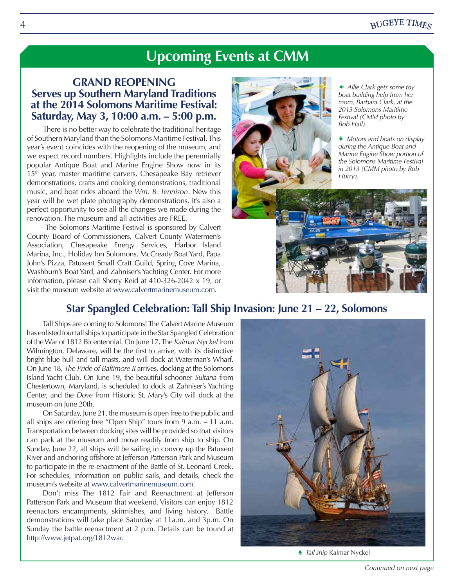# **Upcoming Events at CMM**

#### **GRAND REOPENING Serves up Southern Maryland Traditions at the 2014 Solomons Maritime Festival: Saturday, May 3, 10:00 a.m. – 5:00 p.m.**

There is no better way to celebrate the traditional heritage of Southern Maryland than the Solomons Maritime Festival. This year's event coincides with the reopening of the museum, and we expect record numbers. Highlights include the perennially popular Antique Boat and Marine Engine Show now in its  $15<sup>th</sup>$  year, master maritime carvers, Chesapeake Bay retriever demonstrations, crafts and cooking demonstrations, traditional music, and boat rides aboard the *Wm. B. Tennison*. New this year will be wet plate photography demonstrations. It's also a perfect opportunity to see all the changes we made during the renovation. The museum and all activities are FREE.

 The Solomons Maritime Festival is sponsored by Calvert County Board of Commissioners, Calvert County Watermen's Association, Chesapeake Energy Services, Harbor Island Marina, Inc., Holiday Inn Solomons, McCready Boat Yard, Papa John's Pizza, Patuxent Small Craft Guild, Spring Cove Marina, Washburn's Boat Yard, and Zahniser's Yachting Center. For more information, please call Sherry Reid at 410-326-2042 x 19, or visit the museum website at www.calvertmarinemuseum.com.



 *Allie Clark gets some toy boat building help from her mom, Barbara Clark, at the 2013 Solomons Maritime Festival (CMM photo by Bob Hall).*

 *Motors and boats on display during the Antique Boat and Marine Engine Show portion of the Solomons Maritime Festival in 2013 (CMM photo by Rob Hurry).*

#### **Star Spangled Celebration: Tall Ship Invasion: June 21 – 22, Solomons**

Tall Ships are coming to Solomons! The Calvert Marine Museum has enlisted four tall ships to participate in the Star Spangled Celebration of the War of 1812 Bicentennial. On June 17, The *Kalmar Nyckel* from Wilmington, Delaware, will be the first to arrive, with its distinctive bright blue hull and tall masts, and will dock at Waterman's Wharf. On June 18, *The Pride of Baltimore II* arrives, docking at the Solomons Island Yacht Club. On June 19, the beautiful schooner *Sultana* from Chestertown, Maryland, is scheduled to dock at Zahniser's Yachting Center, and the *Dove* from Historic St. Mary's City will dock at the museum on June 20th.

On Saturday, June 21, the museum is open free to the public and all ships are offering free "Open Ship" tours from 9 a.m. – 11 a.m. Transportation between docking sites will be provided so that visitors can park at the museum and move readily from ship to ship. On Sunday, June 22, all ships will be sailing in convoy up the Patuxent River and anchoring offshore at Jefferson Patterson Park and Museum to participate in the re-enactment of the Battle of St. Leonard Creek. For schedules, information on public sails, and details, check the museum's website at www.calvertmarinemuseum.com.

Don't miss The 1812 Fair and Reenactment at Jefferson Patterson Park and Museum that weekend. Visitors can enjoy 1812 reenactors encampments, skirmishes, and living history. Battle demonstrations will take place Saturday at 11a.m. and 3p.m. On Sunday the battle reenactment at 2 p.m. Details can be found at http://www.jefpat.org/1812war.



 *Tall ship* Kalmar Nyckel

<span id="page-3-0"></span>[4](#page-0-0)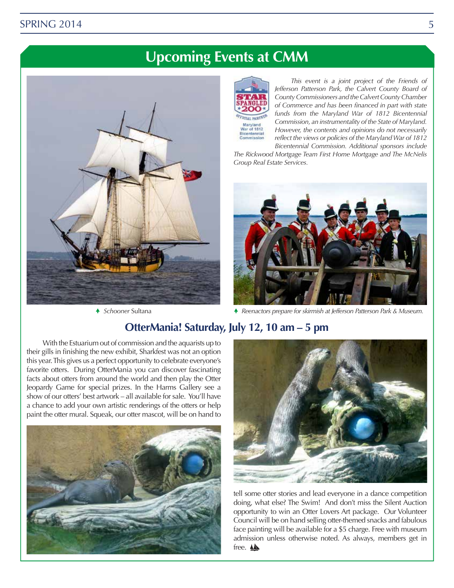# **Upcoming Events at CMM**





*This event is a joint project of the Friends of Jefferson Patterson Park, the Calvert County Board of County Commissioners and the Calvert County Chamber of Commerce and has been financed in part with state funds from the Maryland War of 1812 Bicentennial Commission, an instrumentality of the State of Maryland. However, the contents and opinions do not necessarily reflect the views or policies of the Maryland War of 1812* 

*Bicentennial Commission. Additional sponsors include The Rickwood Mortgage Team First Home Mortgage and The McNelis Group Real Estate Services.*



 *Schooner* Sultana  *Reenactors prepare for skirmish at Jefferson Patterson Park & Museum.*

#### **OtterMania! Saturday, July 12, 10 am – 5 pm**

With the Estuarium out of commission and the aquarists up to their gills in finishing the new exhibit, Sharkfest was not an option this year. This gives us a perfect opportunity to celebrate everyone's favorite otters. During OtterMania you can discover fascinating facts about otters from around the world and then play the Otter Jeopardy Game for special prizes. In the Harms Gallery see a show of our otters' best artwork – all available for sale. You'll have a chance to add your own artistic renderings of the otters or help paint the otter mural. Squeak, our otter mascot, will be on hand to





tell some otter stories and lead everyone in a dance competition doing, what else? The Swim! And don't miss the Silent Auction opportunity to win an Otter Lovers Art package. Our Volunteer Council will be on hand selling otter-themed snacks and fabulous face painting will be available for a \$5 charge. Free with museum admission unless otherwise noted. As always, members get in free.  $\triangle$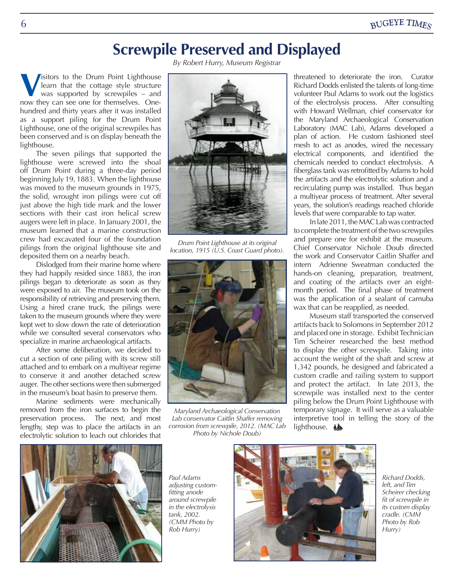# **Screwpile Preserved and Displayed**

*By Robert Hurry, Museum Registrar*

<span id="page-5-0"></span>**V** isitors to the Drum Point Lighthouse<br>learn that the cottage style structure<br>was supported by screwpiles – and<br>now they can see one for themselves. Onelearn that the cottage style structure was supported by screwpiles – and now they can see one for themselves. Onehundred and thirty years after it was installed as a support piling for the Drum Point Lighthouse, one of the original screwpiles has been conserved and is on display beneath the lighthouse.

The seven pilings that supported the lighthouse were screwed into the shoal off Drum Point during a three-day period beginning July 19, 1883. When the lighthouse was moved to the museum grounds in 1975, the solid, wrought iron pilings were cut off just above the high tide mark and the lower sections with their cast iron helical screw augers were left in place. In January 2001, the museum learned that a marine construction crew had excavated four of the foundation pilings from the original lighthouse site and deposited them on a nearby beach.

Dislodged from their marine home where they had happily resided since 1883, the iron pilings began to deteriorate as soon as they were exposed to air. The museum took on the responsibility of retrieving and preserving them. Using a hired crane truck, the pilings were taken to the museum grounds where they were kept wet to slow down the rate of deterioration while we consulted several conservators who specialize in marine archaeological artifacts.

After some deliberation, we decided to cut a section of one piling with its screw still attached and to embark on a multiyear regime to conserve it and another detached screw auger. The other sections were then submerged in the museum's boat basin to preserve them.

Marine sediments were mechanically removed from the iron surfaces to begin the preservation process. The next, and most lengthy, step was to place the artifacts in an electrolytic solution to leach out chlorides that



*Drum Point Lighthouse at its original location, 1915 (U.S. Coast Guard photo).*



*Maryland Archaeological Conservation Lab conservator Caitlin Shaffer removing corrosion from screwpile, 2012. (MAC Lab Photo by Nichole Doub)*

threatened to deteriorate the iron. Curator Richard Dodds enlisted the talents of long-time volunteer Paul Adams to work out the logistics of the electrolysis process. After consulting with Howard Wellman, chief conservator for the Maryland Archaeological Conservation Laboratory (MAC Lab), Adams developed a plan of action. He custom fashioned steel mesh to act as anodes, wired the necessary electrical components, and identified the chemicals needed to conduct electrolysis. A fiberglass tank was retrofitted by Adams to hold the artifacts and the electrolytic solution and a recirculating pump was installed. Thus began a multiyear process of treatment. After several years, the solution's readings reached chloride levels that were comparable to tap water.

In late 2011, the MAC Lab was contracted to complete the treatment of the two screwpiles and prepare one for exhibit at the museum. Chief Conservator Nichole Doub directed the work and Conservator Caitlin Shaffer and intern Adrienne Sweatman conducted the hands-on cleaning, preparation, treatment, and coating of the artifacts over an eightmonth period. The final phase of treatment was the application of a sealant of carnuba wax that can be reapplied, as needed.

Museum staff transported the conserved artifacts back to Solomons in September 2012 and placed one in storage. Exhibit Technician Tim Scheirer researched the best method to display the other screwpile. Taking into account the weight of the shaft and screw at 1,342 pounds, he designed and fabricated a custom cradle and railing system to support and protect the artifact. In late 2013, the screwpile was installed next to the center piling below the Drum Point Lighthouse with temporary signage. It will serve as a valuable interpretive tool in telling the story of the lighthouse. **A** 



*Paul Adams adjusting customfitting anode around screwpile in the electrolysis tank, 2002. (CMM Photo by Rob Hurry)*



*Richard Dodds, left, and Tim Scheirer checking fit of screwpile in its custom display cradle. (CMM Photo by Rob Hurry)*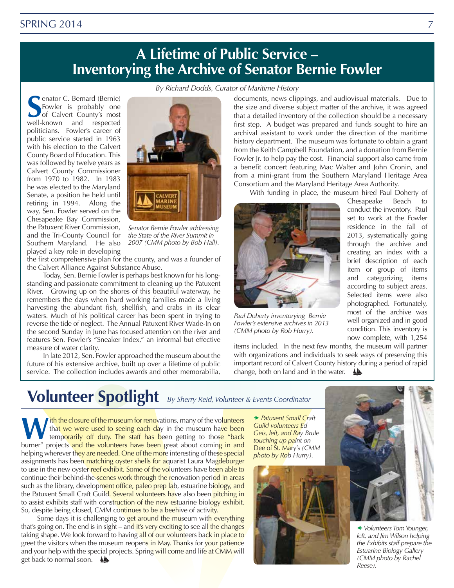#### <span id="page-6-0"></span>**[SPRING 2014](#page-0-0)**

# **A Lifetime of Public Service – Inventorying the Archive of Senator Bernie Fowler**

*By Richard Dodds, Curator of Maritime History*

**S** well-known and respected enator C. Bernard (Bernie) Fowler is probably one of Calvert County's most politicians. Fowler's career of public service started in 1963 with his election to the Calvert County Board of Education. This was followed by twelve years as Calvert County Commissioner from 1970 to 1982. In 1983 he was elected to the Maryland Senate, a position he held until retiring in 1994. Along the way, Sen. Fowler served on the Chesapeake Bay Commission, the Patuxent River Commission, and the Tri-County Council for Southern Maryland. He also played a key role in developing



*Senator Bernie Fowler addressing the State of the River Summit in 2007 (CMM photo by Bob Hall).*

the first comprehensive plan for the county, and was a founder of the Calvert Alliance Against Substance Abuse.

Today, Sen. Bernie Fowler is perhaps best known for his longstanding and passionate commitment to cleaning up the Patuxent River. Growing up on the shores of this beautiful waterway, he remembers the days when hard working families made a living harvesting the abundant fish, shellfish, and crabs in its clear waters. Much of his political career has been spent in trying to reverse the tide of neglect. The Annual Patuxent River Wade-In on the second Sunday in June has focused attention on the river and features Sen. Fowler's "Sneaker Index," an informal but effective measure of water clarity.

In late 2012, Sen. Fowler approached the museum about the future of his extensive archive, built up over a lifetime of public service. The collection includes awards and other memorabilia,

documents, news clippings, and audiovisual materials. Due to the size and diverse subject matter of the archive, it was agreed that a detailed inventory of the collection should be a necessary first step. A budget was prepared and funds sought to hire an archival assistant to work under the direction of the maritime history department. The museum was fortunate to obtain a grant from the Keith Campbell Foundation, and a donation from Bernie Fowler Jr. to help pay the cost. Financial support also came from a benefit concert featuring Mac Walter and John Cronin, and from a mini-grant from the Southern Maryland Heritage Area Consortium and the Maryland Heritage Area Authority.

With funding in place, the museum hired Paul Doherty of

Chesapeake Beach to conduct the inventory. Paul set to work at the Fowler residence in the fall of 2013, systematically going through the archive and creating an index with a brief description of each item or group of items and categorizing items according to subject areas. Selected items were also photographed. Fortunately, most of the archive was well organized and in good condition. This inventory is now complete, with 1,254



*Paul Doherty inventorying Bernie Fowler's extensive archives in 2013 (CMM photo by Rob Hurry).*

items included. In the next few months, the museum will partner with organizations and individuals to seek ways of preserving this important record of Calvert County history during a period of rapid change, both on land and in the water.

# **Volunteer Spotlight** *By Sherry Reid, Volunteer & Events Coordinator*

What we were used to seeing each day in the museum have been<br>temporarily off duty. The staff has been getting to those "back<br>hurnor" projects and the volunteers have been great about coming in and that we were used to seeing each day in the museum have been temporarily off duty. The staff has been getting to those "back burner" projects and the volunteers have been great about coming in and helping wherever they are needed. One of the more interesting of these special assignments has been matching oyster shells for aquarist Laura Magdeburger to use in the new oyster reef exhibit. Some of the volunteers have been able to continue their behind-the-scenes work through the renovation period in areas such as the library, development office, paleo prep lab, estuarine biology, and the Patuxent Small Craft Guild. Several volunteers have also been pitching in to assist exhibits staff with construction of the new estuarine biology exhibit. So, despite being closed, CMM continues to be a beehive of activity.

Some days it is challenging to get around the museum with everything that's going on. The end is in sight – and it's very exciting to see all the changes taking shape. We look forward to having all of our volunteers back in place to greet the visitors when the museum reopens in May. Thanks for your patience and your help with the special projects. Spring will come and life at CMM will get back to normal soon.  $\triangle$ 

 *Patuxent Small Craft Guild volunteers Ed Geis, left, and Ray Brule touching up paint on*  Dee of St. Mary's *(CMM photo by Rob Hurry).*





 *Volunteers Tom Younger, left, and Jim Wilson helping the Exhibits staff prepare the Estuarine Biology Gallery (CMM photo by Rachel Reese).*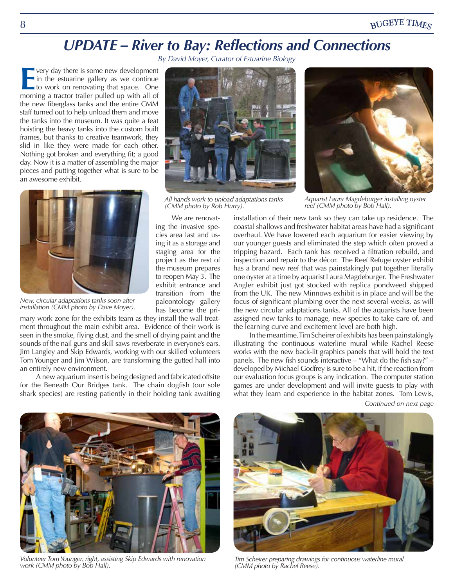# *UPDATE – River to Bay: Reflections and Connections*

*By David Moyer, Curator of Estuarine Biology*

<span id="page-7-0"></span>**E** very day there is some new development in the estuarine gallery as we continue to work on renovating that space. One morning a tractor trailer pulled up with all of very day there is some new development  $\blacksquare$  in the estuarine gallery as we continue to work on renovating that space. One the new fiberglass tanks and the entire CMM staff turned out to help unload them and move the tanks into the museum. It was quite a feat hoisting the heavy tanks into the custom built frames, but thanks to creative teamwork, they slid in like they were made for each other. Nothing got broken and everything fit; a good day. Now it is a matter of assembling the major pieces and putting together what is sure to be an awesome exhibit.



*New, circular adaptations tanks soon after installation (CMM photo by Dave Moyer).*

mary work zone for the exhibits team as they install the wall treatment throughout the main exhibit area. Evidence of their work is seen in the smoke, flying dust, and the smell of drying paint and the sounds of the nail guns and skill saws reverberate in everyone's ears. Jim Langley and Skip Edwards, working with our skilled volunteers Tom Younger and Jim Wilson, are transforming the gutted hall into an entirely new environment.

A new aquarium insert is being designed and fabricated offsite for the Beneath Our Bridges tank. The chain dogfish (our sole shark species) are resting patiently in their holding tank awaiting



*All hands work to unload adaptations tanks (CMM photo by Rob Hurry).*

We are renovating the invasive species area last and using it as a storage and staging area for the project as the rest of the museum prepares to reopen May 3. The exhibit entrance and transition from the paleontology gallery has become the pri-

*Aquarist Laura Magdeburger installing oyster reef (CMM photo by Bob Hall).*

installation of their new tank so they can take up residence. The coastal shallows and freshwater habitat areas have had a significant overhaul. We have lowered each aquarium for easier viewing by our younger guests and eliminated the step which often proved a tripping hazard. Each tank has received a filtration rebuild, and inspection and repair to the décor. The Reef Refuge oyster exhibit has a brand new reef that was painstakingly put together literally one oyster at a time by aquarist Laura Magdeburger. The Freshwater Angler exhibit just got stocked with replica pondweed shipped from the UK. The new Minnows exhibit is in place and will be the focus of significant plumbing over the next several weeks, as will the new circular adaptations tanks. All of the aquarists have been assigned new tanks to manage, new species to take care of, and the learning curve and excitement level are both high.

In the meantime, Tim Scheirer of exhibits has been painstakingly illustrating the continuous waterline mural while Rachel Reese works with the new back-lit graphics panels that will hold the text panels. The new fish sounds interactive – "What do the fish say?" – developed by Michael Godfrey is sure to be a hit, if the reaction from our evaluation focus groups is any indication. The computer station games are under development and will invite guests to play with what they learn and experience in the habitat zones. Tom Lewis,

*Continued on next page*



*Volunteer Tom Younger, right, assisting Skip Edwards with renovation work (CMM photo by Bob Hall).*



*Tim Scheirer preparing drawings for continuous waterline mural (CMM photo by Rachel Reese).*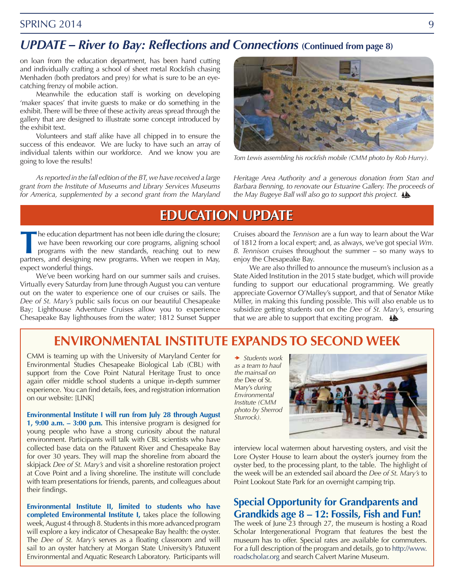#### <span id="page-8-0"></span>[SPRING 2014](#page-0-0) 9

#### *UPDATE – River to Bay: Reflections and Connections* **(Continued from page 8)**

on loan from the education department, has been hand cutting and individually crafting a school of sheet metal Rockfish chasing Menhaden (both predators and prey) for what is sure to be an eyecatching frenzy of mobile action.

Meanwhile the education staff is working on developing 'maker spaces' that invite guests to make or do something in the exhibit. There will be three of these activity areas spread through the gallery that are designed to illustrate some concept introduced by the exhibit text.

Volunteers and staff alike have all chipped in to ensure the success of this endeavor. We are lucky to have such an array of individual talents within our workforce. And we know you are going to love the results!

*As reported in the fall edition of the BT, we have received a large grant from the Institute of Museums and Library Services Museums for America, supplemented by a second grant from the Maryland* 



Tom Lewis assembling his rockfish mobile (CMM photo by Rob Hurry).

*Heritage Area Authority and a generous donation from Stan and Barbara Benning, to renovate our Estuarine Gallery. The proceeds of the May Bugeye Ball will also go to support this project.*

#### **EDUCATION UPDATE EDUCATION UPDATE**

**T**he education department has not been idle during the closure; we have been reworking our core programs, aligning school programs with the new standards, reaching out to new partners, and designing new programs. When we reopen in May, expect wonderful things.

We've been working hard on our summer sails and cruises. Virtually every Saturday from June through August you can venture out on the water to experience one of our cruises or sails. The *Dee of St. Mary's* public sails focus on our beautiful Chesapeake Bay; Lighthouse Adventure Cruises allow you to experience Chesapeake Bay lighthouses from the water; 1812 Sunset Supper Cruises aboard the *Tennison* are a fun way to learn about the War of 1812 from a local expert; and, as always, we've got special *Wm. B. Tennison* cruises throughout the summer – so many ways to enjoy the Chesapeake Bay.

We are also thrilled to announce the museum's inclusion as a State Aided Institution in the 2015 state budget, which will provide funding to support our educational programming. We greatly appreciate Governor O'Malley's support, and that of Senator Mike Miller, in making this funding possible. This will also enable us to subsidize getting students out on the *Dee of St. Mary's,* ensuring that we are able to support that exciting program.  $\Delta$ 

#### **ENVIRONMENTAL INSTITUTE EXPANDS TO SECOND WEEK**

CMM is teaming up with the University of Maryland Center for Environmental Studies Chesapeake Biological Lab (CBL) with support from the Cove Point Natural Heritage Trust to once again offer middle school students a unique in-depth summer experience. You can find details, fees, and registration information on our website: [LINK]

**Environmental Institute I will run from July 28 through August 1, 9:00 a.m. – 3:00 p.m.** This intensive program is designed for young people who have a strong curiosity about the natural environment. Participants will talk with CBL scientists who have collected base data on the Patuxent River and Chesapeake Bay for over 30 years. They will map the shoreline from aboard the skipjack *Dee of St. Mary's* and visit a shoreline restoration project at Cove Point and a living shoreline. The institute will conclude with team presentations for friends, parents, and colleagues about their findings.

**Environmental Institute II, limited to students who have completed Environmental Institute I,** takes place the following week, August 4 through 8. Students in this more advanced program will explore a key indicator of Chesapeake Bay health: the oyster. The *Dee of St. Mary's* serves as a floating classroom and will sail to an oyster hatchery at Morgan State University's Patuxent Environmental and Aquatic Research Laboratory. Participants will

 *Students work as a team to haul the mainsail on the* Dee of St. Mary's *during Environmental Institute (CMM photo by Sherrod Sturrock).*



interview local watermen about harvesting oysters, and visit the Lore Oyster House to learn about the oyster's journey from the oyster bed, to the processing plant, to the table. The highlight of the week will be an extended sail aboard the *Dee of St. Mary's* to Point Lookout State Park for an overnight camping trip.

#### **Special Opportunity for Grandparents and Grandkids age 8 – 12: Fossils, Fish and Fun!**

The week of June 23 through 27, the museum is hosting a Road Scholar Intergenerational Program that features the best the museum has to offer. Special rates are available for commuters. For a full description of the program and details, go to http://www. roadscholar.org and search Calvert Marine Museum.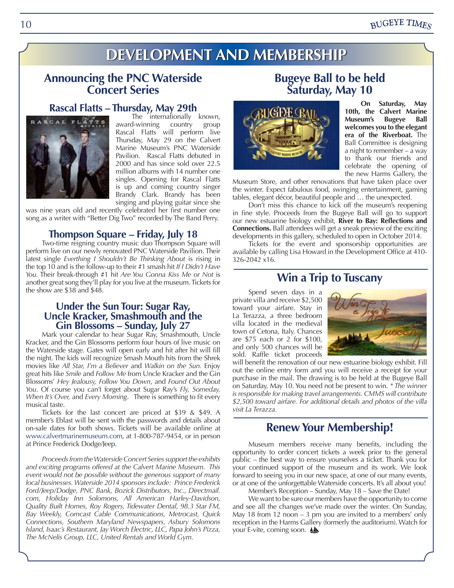#### **BUGEYE TIMES**

# **DEVELOPMENT AND MEMBERSHIP DEVELOPMENT AND MEMBERSHIP**

#### <span id="page-9-0"></span>**Announcing the PNC Waterside Concert Series**

# **Rascal Flatts – Thursday, May 29th**<br>**RASCAL FLATTS** averdavinging country group



award-winning country group Rascal Flatts will perform live Thursday, May 29 on the Calvert Marine Museum's PNC Waterside Pavilion. Rascal Flatts debuted in 2000 and has since sold over 22.5 million albums with 14 number one singles. Opening for Rascal Flatts is up and coming country singer Brandy Clark. Brandy has been singing and playing guitar since she

was nine years old and recently celebrated her first number one song as a writer with "Better Dig Two" recorded by The Band Perry.

#### **Thompson Square – Friday, July 18**

Two-time reigning country music duo Thompson Square will perform live on our newly renovated PNC Waterside Pavilion. Their latest single *Everthing I Shouldn't Be Thinking About* is rising in the top 10 and is the follow-up to their #1 smash hit *If I Didn't Have You.* Their break-through #1 hit *Are You Gonna Kiss Me or Not* is another great song they'll play for you live at the museum. Tickets for the show are \$38 and \$48.

# **Under the Sun Tour: Sugar Ray,<br>
Uncle Kracker, Smashmouth and the<br>
Gin Blossoms – Sunday, July 27<br>
Mark your calendar to hear Sugar Ray, Smashmouth, Uncle**

Kracker, and the Gin Blossoms perform four hours of live music on the Waterside stage. Gates will open early and hit after hit will fill the night. The kids will recognize Smash Mouth hits from the Shrek movies like *All Star, I'm a Believer* and *Walkin on the Sun.* Enjoy great hits like *Smile* and *Follow Me* from Uncle Kracker and the Gin Blossoms' *Hey Jealousy, Follow You Down*, and *Found Out About You*. Of course you can't forget about Sugar Ray's *Fly, Someday, When It's Over,* and *Every Morning*. There is something to fit every musical taste.

Tickets for the last concert are priced at \$39 & \$49. A member's Eblast will be sent with the passwords and details about on-sale dates for both shows. Tickets will be available online at www.calvertmarinemuseum.com, at 1-800-787-9454, or in person at Prince Frederick Dodge/Jeep.

*Proceeds from the Waterside Concert Series support the exhibits and exciting programs offered at the Calvert Marine Museum. This event would not be possible without the generous support of many local businesses. Waterside 2014 sponsors include: Prince Frederick Ford/Jeep/Dodge, PNC Bank, Bozick Distributors, Inc., Directmail. com, Holiday Inn Solomons, All American Harley-Davidson, Quality Built Homes, Roy Rogers, Tidewater Dental, 98.3 Star FM, Bay Weekly, Comcast Cable Communications, Metrocast, Quick Connections, Southern Maryland Newspapers, Asbury Solomons Island, Isaac's Restaurant, Jay Worch Electric, LLC, Papa John's Pizza, The McNelis Group, LLC, United Rentals and World Gym.*

#### **Bugeye Ball to be held Saturday, May 10**



**On Saturday, May 10th, the Calvert Marine Museum's Bugeye Ball welcomes you to the elegant era of the Riverboat.** The Ball Committee is designing a night to remember – a way to thank our friends and celebrate the opening of the new Harms Gallery, the

Museum Store, and other renovations that have taken place over the winter. Expect fabulous food, swinging entertainment, gaming tables, elegant décor, beautiful people and … the unexpected.

Don't miss this chance to kick off the museum's reopening in fine style. Proceeds from the Bugeye Ball will go to support our new estuarine biology exhibit, **River to Bay: Reflections and Connections.** Ball attendees will get a sneak preview of the exciting developments in this gallery, scheduled to open in October 2014.

Tickets for the event and sponsorship opportunities are available by calling Lisa Howard in the Development Office at 410- 326-2042 x16.

#### **Win a Trip to Tuscany**

Spend seven days in a private villa and receive \$2,500 toward your airfare. Stay in La Terazza, a three bedroom villa located in the medieval town of Cetona, Italy. Chances are \$75 each or 2 for \$100, and only 500 chances will be sold. Raffle ticket proceeds



will benefit the renovation of our new estuarine biology exhibit. Fill out the online entry form and you will receive a receipt for your purchase in the mail. The drawing is to be held at the Bugeye Ball on Saturday, May 10. You need not be present to win. *\* The winner is responsible for making travel arrangements. CMMS will contribute \$2,500 toward airfare. For additional details and photos of the villa visit La Terazza.*

#### **Renew Your Membership!**

Museum members receive many benefits, including the opportunity to order concert tickets a week prior to the general public – the best way to ensure yourselves a ticket. Thank you for your continued support of the museum and its work. We look forward to seeing you in our new space, at one of our many events, or at one of the unforgettable Waterside concerts. It's all about you!

Member's Reception – Sunday, May 18 – Save the Date!

We want to be sure our members have the opportunity to come and see all the changes we've made over the winter. On Sunday, May 18 from 12 noon  $-3$  pm you are invited to a members' only reception in the Harms Gallery (formerly the auditorium). Watch for your E-vite, coming soon.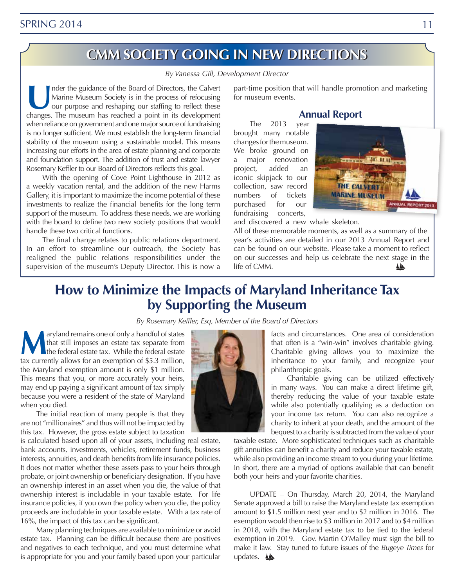### **CMM SOCIETY GOING IN NEW DIRECTIONS CMM SOCIETY GOING IN NEW DIRECTIONS**

#### *By Vanessa Gill, Development Director*

<span id="page-10-0"></span>Inder the guidance of the Board of Directors, the Calvert<br>
Marine Museum Society is in the process of refocusing<br>
our purpose and reshaping our staffing to reflect these<br>
changes. The museum has reached a point in its deve Marine Museum Society is in the process of refocusing changes. The museum has reached a point in its development when reliance on government and one major source of fundraising is no longer sufficient. We must establish the long-term financial stability of the museum using a sustainable model. This means increasing our efforts in the area of estate planning and corporate and foundation support. The addition of trust and estate lawyer Rosemary Keffler to our Board of Directors reflects this goal.

With the opening of Cove Point Lighthouse in 2012 as a weekly vacation rental, and the addition of the new Harms Gallery, it is important to maximize the income potential of these investments to realize the financial benefits for the long term support of the museum. To address these needs, we are working with the board to define two new society positions that would handle these two critical functions.

The final change relates to public relations department. In an effort to streamline our outreach, the Society has realigned the public relations responsibilities under the supervision of the museum's Deputy Director. This is now a part-time position that will handle promotion and marketing for museum events.

**Annual Report** The 2013 year brought many notable changes for the museum. We broke ground on a major renovation project, added an iconic skipjack to our collection, saw record numbers of tickets purchased for our fundraising concerts,





and discovered a new whale skeleton.

All of these memorable moments, as well as a summary of the year's activities are detailed in our 2013 Annual Report and can be found on our [website](http://www.calvertmarinemuseum.com/edit/uploads/Annual-Report-FY-13-Final-SM.pdf). Please take a moment to reflect on our successes and help us celebrate the next stage in the life of CMM. 秘

## **How to Minimize the Impacts of Maryland Inheritance Tax by Supporting the Museum**

*By Rosemary Keffler, Esq, Member of the Board of Directors*

**Maryland remains one of only a handful of states**<br>that still imposes an estate tax separate from<br>the federal estate tax. While the federal estate<br>tax currently allows for an exemption of \$5.3 million that still imposes an estate tax separate from tax currently allows for an exemption of \$5.3 million, the Maryland exemption amount is only \$1 million. This means that you, or more accurately your heirs, may end up paying a significant amount of tax simply because you were a resident of the state of Maryland when you died.

The initial reaction of many people is that they are not "millionaires" and thus will not be impacted by this tax. However, the gross estate subject to taxation

is calculated based upon all of your assets, including real estate, bank accounts, investments, vehicles, retirement funds, business interests, annuities, and death benefits from life insurance policies. It does not matter whether these assets pass to your heirs through probate, or joint ownership or beneficiary designation. If you have an ownership interest in an asset when you die, the value of that ownership interest is includable in your taxable estate. For life insurance policies, if you own the policy when you die, the policy proceeds are includable in your taxable estate. With a tax rate of 16%, the impact of this tax can be significant.

Many planning techniques are available to minimize or avoid estate tax. Planning can be difficult because there are positives and negatives to each technique, and you must determine what is appropriate for you and your family based upon your particular



facts and circumstances. One area of consideration that often is a "win-win" involves charitable giving. Charitable giving allows you to maximize the inheritance to your family, and recognize your philanthropic goals.

Charitable giving can be utilized effectively in many ways. You can make a direct lifetime gift, thereby reducing the value of your taxable estate while also potentially qualifying as a deduction on your income tax return. You can also recognize a charity to inherit at your death, and the amount of the bequest to a charity is subtracted from the value of your

taxable estate. More sophisticated techniques such as charitable gift annuities can benefit a charity and reduce your taxable estate, while also providing an income stream to you during your lifetime. In short, there are a myriad of options available that can benefit both your heirs and your favorite charities.

UPDATE – On Thursday, March 20, 2014, the Maryland Senate approved a bill to raise the Maryland estate tax exemption amount to \$1.5 million next year and to \$2 million in 2016. The exemption would then rise to \$3 million in 2017 and to \$4 million in 2018, with the Maryland estate tax to be tied to the federal exemption in 2019. Gov. Martin O'Malley must sign the bill to make it law. Stay tuned to future issues of the *Bugeye Times* for updates.  $\triangle$